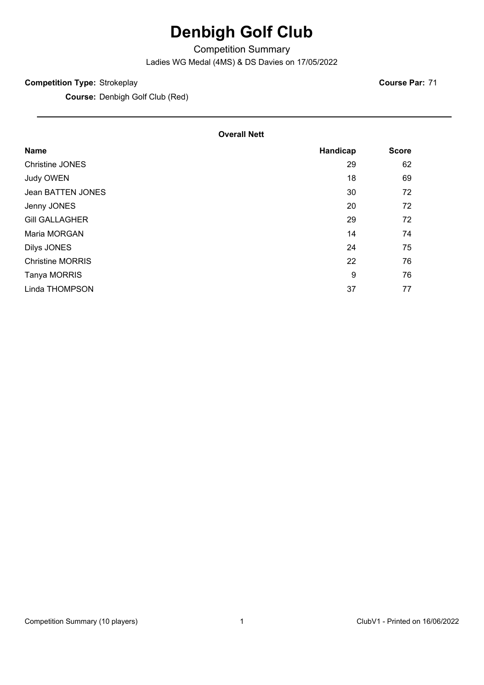# **Denbigh Golf Club**

Competition Summary

Ladies WG Medal (4MS) & DS Davies on 17/05/2022

#### **Competition Type:** Strokeplay

**Course:** Denbigh Golf Club (Red)

**Course Par:** 71

#### **Overall Nett**

| <b>Name</b>             | Handicap | <b>Score</b> |
|-------------------------|----------|--------------|
| <b>Christine JONES</b>  | 29       | 62           |
| Judy OWEN               | 18       | 69           |
| Jean BATTEN JONES       | 30       | 72           |
| Jenny JONES             | 20       | 72           |
| <b>Gill GALLAGHER</b>   | 29       | 72           |
| Maria MORGAN            | 14       | 74           |
| Dilys JONES             | 24       | 75           |
| <b>Christine MORRIS</b> | 22       | 76           |
| Tanya MORRIS            | 9        | 76           |
| Linda THOMPSON          | 37       | 77           |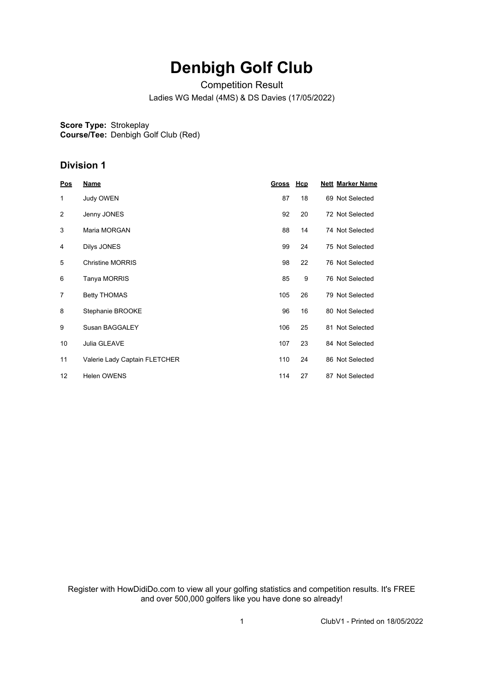# **Denbigh Golf Club**

Competition Result

Ladies WG Medal (4MS) & DS Davies (17/05/2022)

**Score Type:** Strokeplay **Course/Tee:** Denbigh Golf Club (Red)

### **Division 1**

| Pos            | <b>Name</b>                   | <u>Gross</u> | <u>Hcp</u> | <b>Nett Marker Name</b> |
|----------------|-------------------------------|--------------|------------|-------------------------|
| 1              | Judy OWEN                     | 87           | 18         | 69 Not Selected         |
| 2              | Jenny JONES                   | 92           | 20         | 72 Not Selected         |
| 3              | Maria MORGAN                  | 88           | 14         | 74 Not Selected         |
| 4              | Dilys JONES                   | 99           | 24         | 75 Not Selected         |
| 5              | <b>Christine MORRIS</b>       | 98           | 22         | 76 Not Selected         |
| 6              | Tanya MORRIS                  | 85           | 9          | 76 Not Selected         |
| $\overline{7}$ | <b>Betty THOMAS</b>           | 105          | 26         | 79 Not Selected         |
| 8              | Stephanie BROOKE              | 96           | 16         | 80 Not Selected         |
| 9              | Susan BAGGALEY                | 106          | 25         | 81 Not Selected         |
| 10             | Julia GLEAVE                  | 107          | 23         | 84 Not Selected         |
| 11             | Valerie Lady Captain FLETCHER | 110          | 24         | 86 Not Selected         |
| 12             | <b>Helen OWENS</b>            | 114          | 27         | 87 Not Selected         |

Register with HowDidiDo.com to view all your golfing statistics and competition results. It's FREE and over 500,000 golfers like you have done so already!